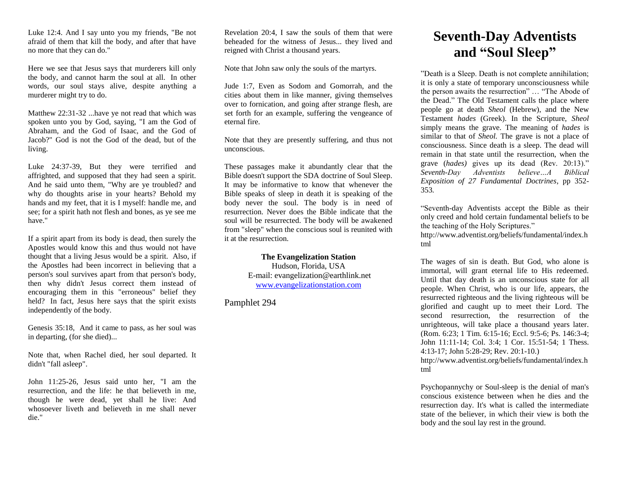Luke 12:4. And I say unto you my friends, "Be not afraid of them that kill the body, and after that have no more that they can do."

Here we see that Jesus says that murderers kill only the body, and cannot harm the soul at all. In other words, our soul stays alive, despite anything a murderer might try to do.

Matthew 22:31-32 ...have ye not read that which was spoken unto you by God, saying, "I am the God of Abraham, and the God of Isaac, and the God of Jacob?" God is not the God of the dead, but of the living.

Luke 24:37-39, But they were terrified and affrighted, and supposed that they had seen a spirit. And he said unto them, "Why are ye troubled? and why do thoughts arise in your hearts? Behold my hands and my feet, that it is I myself: handle me, and see; for a spirit hath not flesh and bones, as ye see me have."

If a spirit apart from its body is dead, then surely the Apostles would know this and thus would not have thought that a living Jesus would be a spirit. Also, if the Apostles had been incorrect in believing that a person's soul survives apart from that person's body, then why didn't Jesus correct them instead of encouraging them in this "erroneous" belief they held? In fact, Jesus here says that the spirit exists independently of the body.

Genesis 35:18, And it came to pass, as her soul was in departing, (for she died)...

Note that, when Rachel died, her soul departed. It didn't "fall asleep".

John 11:25-26, Jesus said unto her, "I am the resurrection, and the life: he that believeth in me, though he were dead, yet shall he live: And whosoever liveth and believeth in me shall never die."

Revelation 20:4, I saw the souls of them that were beheaded for the witness of Jesus... they lived and reigned with Christ a thousand years.

Note that John saw only the souls of the martyrs.

Jude 1:7, Even as Sodom and Gomorrah, and the cities about them in like manner, giving themselves over to fornication, and going after strange flesh, are set forth for an example, suffering the vengeance of eternal fire.

Note that they are presently suffering, and thus not unconscious.

These passages make it abundantly clear that the Bible doesn't support the SDA doctrine of Soul Sleep. It may be informative to know that whenever the Bible speaks of sleep in death it is speaking of the body never the soul. The body is in need of resurrection. Never does the Bible indicate that the soul will be resurrected. The body will be awakened from "sleep" when the conscious soul is reunited with it at the resurrection.

> **The Evangelization Station** Hudson, Florida, USA E-mail: evangelization@earthlink.net [www.evangelizationstation.com](http://www.pjpiisoe.org/)

Pamphlet 294

## **Seventh-Day Adventists and "Soul Sleep"**

"Death is a Sleep. Death is not complete annihilation; it is only a state of temporary unconsciousness while the person awaits the resurrection" … "The Abode of the Dead." The Old Testament calls the place where people go at death *Sheol* (Hebrew), and the New Testament *hades* (Greek). In the Scripture, *Sheol* simply means the grave. The meaning of *hades* is similar to that of *Sheol.* The grave is not a place of consciousness. Since death is a sleep. The dead will remain in that state until the resurrection, when the grave (*hades)* gives up its dead (Rev. 20:13)." *Seventh-Day Adventists believe…A Biblical Exposition of 27 Fundamental Doctrines*, pp 352- 353*.*

"Seventh-day Adventists accept the Bible as their only creed and hold certain fundamental beliefs to be the teaching of the Holy Scriptures."

http://www.adventist.org/beliefs/fundamental/index.h tml

The wages of sin is death. But God, who alone is immortal, will grant eternal life to His redeemed. Until that day death is an unconscious state for all people. When Christ, who is our life, appears, the resurrected righteous and the living righteous will be glorified and caught up to meet their Lord. The second resurrection, the resurrection of the unrighteous, will take place a thousand years later. (Rom. 6:23; 1 Tim. 6:15-16; Eccl. 9:5-6; Ps. 146:3-4; John 11:11-14; Col. 3:4; 1 Cor. 15:51-54; 1 Thess. 4:13-17; John 5:28-29; Rev. 20:1-10.) http://www.adventist.org/beliefs/fundamental/index.h tml

Psychopannychy or Soul-sleep is the denial of man's conscious existence between when he dies and the resurrection day. It's what is called the intermediate state of the believer, in which their view is both the body and the soul lay rest in the ground.